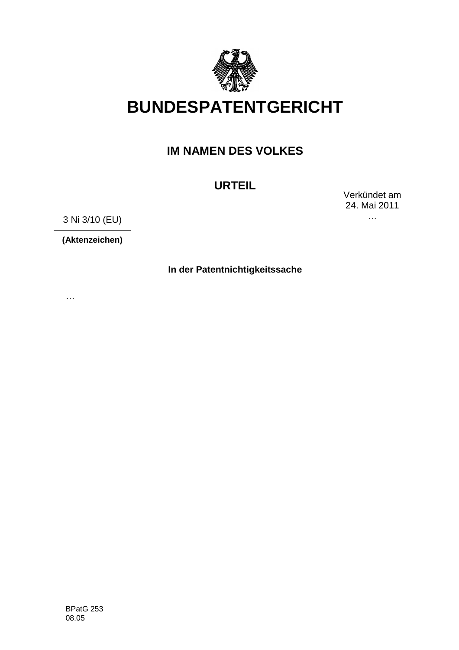

# **BUNDESPATENTGERICHT**

## **IM NAMEN DES VOLKES**

# **URTEIL**

Verkündet am 24. Mai 2011 …

3 Ni 3/10 (EU)

**(Aktenzeichen)**

**In der Patentnichtigkeitssache**

…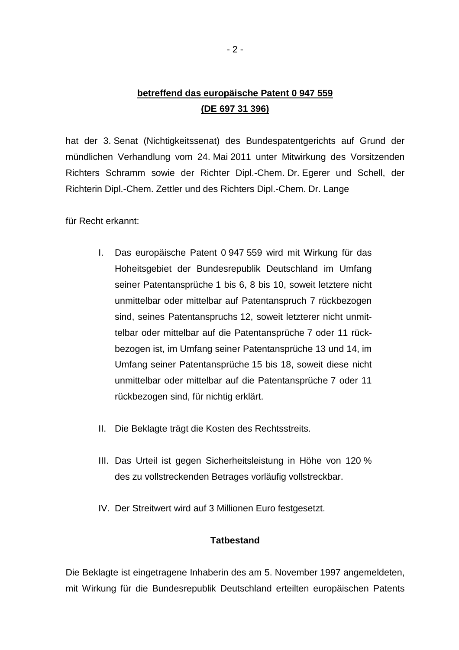## **betreffend das europäische Patent 0 947 559 (DE 697 31 396)**

hat der 3. Senat (Nichtigkeitssenat) des Bundespatentgerichts auf Grund der mündlichen Verhandlung vom 24. Mai 2011 unter Mitwirkung des Vorsitzenden Richters Schramm sowie der Richter Dipl.-Chem. Dr. Egerer und Schell, der Richterin Dipl.-Chem. Zettler und des Richters Dipl.-Chem. Dr. Lange

für Recht erkannt:

- I. Das europäische Patent 0 947 559 wird mit Wirkung für das Hoheitsgebiet der Bundesrepublik Deutschland im Umfang seiner Patentansprüche 1 bis 6, 8 bis 10, soweit letztere nicht unmittelbar oder mittelbar auf Patentanspruch 7 rückbezogen sind, seines Patentanspruchs 12, soweit letzterer nicht unmittelbar oder mittelbar auf die Patentansprüche 7 oder 11 rückbezogen ist, im Umfang seiner Patentansprüche 13 und 14, im Umfang seiner Patentansprüche 15 bis 18, soweit diese nicht unmittelbar oder mittelbar auf die Patentansprüche 7 oder 11 rückbezogen sind, für nichtig erklärt.
- II. Die Beklagte trägt die Kosten des Rechtsstreits.
- III. Das Urteil ist gegen Sicherheitsleistung in Höhe von 120 % des zu vollstreckenden Betrages vorläufig vollstreckbar.
- IV. Der Streitwert wird auf 3 Millionen Euro festgesetzt.

### **Tatbestand**

Die Beklagte ist eingetragene Inhaberin des am 5. November 1997 angemeldeten, mit Wirkung für die Bundesrepublik Deutschland erteilten europäischen Patents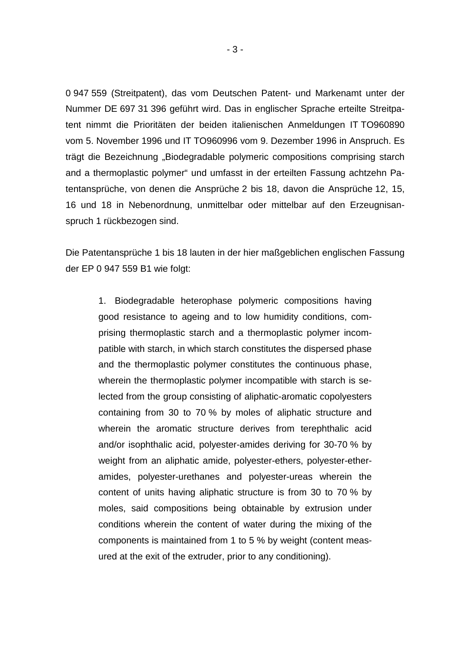0 947 559 (Streitpatent), das vom Deutschen Patent- und Markenamt unter der Nummer DE 697 31 396 geführt wird. Das in englischer Sprache erteilte Streitpatent nimmt die Prioritäten der beiden italienischen Anmeldungen IT TO960890 vom 5. November 1996 und IT TO960996 vom 9. Dezember 1996 in Anspruch. Es trägt die Bezeichnung "Biodegradable polymeric compositions comprising starch and a thermoplastic polymer" und umfasst in der erteilten Fassung achtzehn Patentansprüche, von denen die Ansprüche 2 bis 18, davon die Ansprüche 12, 15, 16 und 18 in Nebenordnung, unmittelbar oder mittelbar auf den Erzeugnisanspruch 1 rückbezogen sind.

Die Patentansprüche 1 bis 18 lauten in der hier maßgeblichen englischen Fassung der EP 0 947 559 B1 wie folgt:

1. Biodegradable heterophase polymeric compositions having good resistance to ageing and to low humidity conditions, comprising thermoplastic starch and a thermoplastic polymer incompatible with starch, in which starch constitutes the dispersed phase and the thermoplastic polymer constitutes the continuous phase, wherein the thermoplastic polymer incompatible with starch is selected from the group consisting of aliphatic-aromatic copolyesters containing from 30 to 70 % by moles of aliphatic structure and wherein the aromatic structure derives from terephthalic acid and/or isophthalic acid, polyester-amides deriving for 30-70 % by weight from an aliphatic amide, polyester-ethers, polyester-etheramides, polyester-urethanes and polyester-ureas wherein the content of units having aliphatic structure is from 30 to 70 % by moles, said compositions being obtainable by extrusion under conditions wherein the content of water during the mixing of the components is maintained from 1 to 5 % by weight (content measured at the exit of the extruder, prior to any conditioning).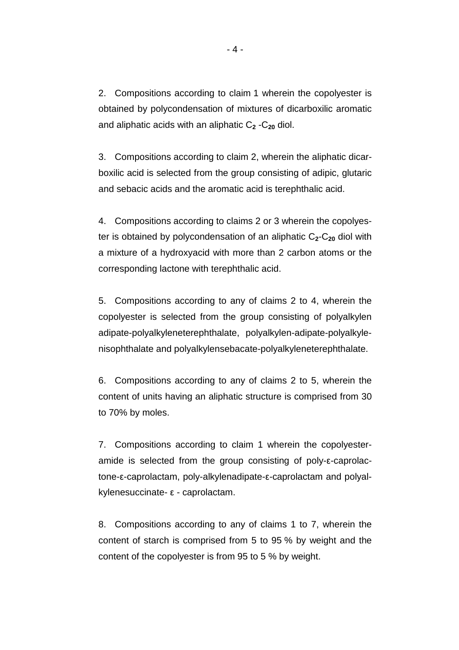2. Compositions according to claim 1 wherein the copolyester is obtained by polycondensation of mixtures of dicarboxilic aromatic and aliphatic acids with an aliphatic C**<sup>2</sup>** -C**20** diol.

3. Compositions according to claim 2, wherein the aliphatic dicarboxilic acid is selected from the group consisting of adipic, glutaric and sebacic acids and the aromatic acid is terephthalic acid.

4. Compositions according to claims 2 or 3 wherein the copolyester is obtained by polycondensation of an aliphatic C**2**-C**20** diol with a mixture of a hydroxyacid with more than 2 carbon atoms or the corresponding lactone with terephthalic acid.

5. Compositions according to any of claims 2 to 4, wherein the copolyester is selected from the group consisting of polyalkylen adipate-polyalkyleneterephthalate, polyalkylen-adipate-polyalkylenisophthalate and polyalkylensebacate-polyalkyleneterephthalate.

6. Compositions according to any of claims 2 to 5, wherein the content of units having an aliphatic structure is comprised from 30 to 70% by moles.

7. Compositions according to claim 1 wherein the copolyesteramide is selected from the group consisting of poly- $\epsilon$ -caprolactone-ε-caprolactam, poly-alkylenadipate-ε-caprolactam and polyalkylenesuccinate- $\epsilon$  - caprolactam.

8. Compositions according to any of claims 1 to 7, wherein the content of starch is comprised from 5 to 95 % by weight and the content of the copolyester is from 95 to 5 % by weight.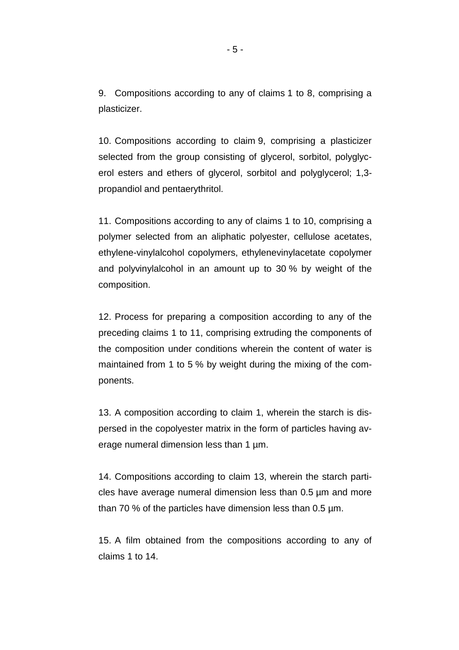9. Compositions according to any of claims 1 to 8, comprising a plasticizer.

10. Compositions according to claim 9, comprising a plasticizer selected from the group consisting of glycerol, sorbitol, polyglycerol esters and ethers of glycerol, sorbitol and polyglycerol; 1,3 propandiol and pentaerythritol.

11. Compositions according to any of claims 1 to 10, comprising a polymer selected from an aliphatic polyester, cellulose acetates, ethylene-vinylalcohol copolymers, ethylenevinylacetate copolymer and polyvinylalcohol in an amount up to 30 % by weight of the composition.

12. Process for preparing a composition according to any of the preceding claims 1 to 11, comprising extruding the components of the composition under conditions wherein the content of water is maintained from 1 to 5 % by weight during the mixing of the components.

13. A composition according to claim 1, wherein the starch is dispersed in the copolyester matrix in the form of particles having average numeral dimension less than 1  $\mu$ m.

14. Compositions according to claim 13, wherein the starch particles have average numeral dimension less than 0.5 µm and more than 70 % of the particles have dimension less than 0.5 µm.

15. A film obtained from the compositions according to any of claims 1 to 14.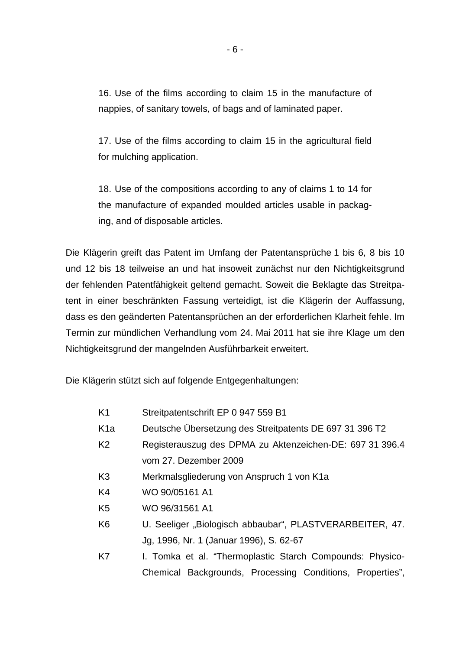16. Use of the films according to claim 15 in the manufacture of nappies, of sanitary towels, of bags and of laminated paper.

17. Use of the films according to claim 15 in the agricultural field for mulching application.

18. Use of the compositions according to any of claims 1 to 14 for the manufacture of expanded moulded articles usable in packaging, and of disposable articles.

Die Klägerin greift das Patent im Umfang der Patentansprüche 1 bis 6, 8 bis 10 und 12 bis 18 teilweise an und hat insoweit zunächst nur den Nichtigkeitsgrund der fehlenden Patentfähigkeit geltend gemacht. Soweit die Beklagte das Streitpatent in einer beschränkten Fassung verteidigt, ist die Klägerin der Auffassung, dass es den geänderten Patentansprüchen an der erforderlichen Klarheit fehle. Im Termin zur mündlichen Verhandlung vom 24. Mai 2011 hat sie ihre Klage um den Nichtigkeitsgrund der mangelnden Ausführbarkeit erweitert.

Die Klägerin stützt sich auf folgende Entgegenhaltungen:

- K1 Streitpatentschrift EP 0 947 559 B1
- K1a Deutsche Übersetzung des Streitpatents DE 697 31 396 T2
- K2 Registerauszug des DPMA zu Aktenzeichen-DE: 697 31 396.4 vom 27. Dezember 2009
- K3 Merkmalsgliederung von Anspruch 1 von K1a
- K4 WO 90/05161 A1
- K5 WO 96/31561 A1
- K6 U. Seeliger "Biologisch abbaubar", PLASTVERARBEITER, 47. Jg, 1996, Nr. 1 (Januar 1996), S. 62-67
- K7 I. Tomka et al. "Thermoplastic Starch Compounds: Physico-Chemical Backgrounds, Processing Conditions, Properties",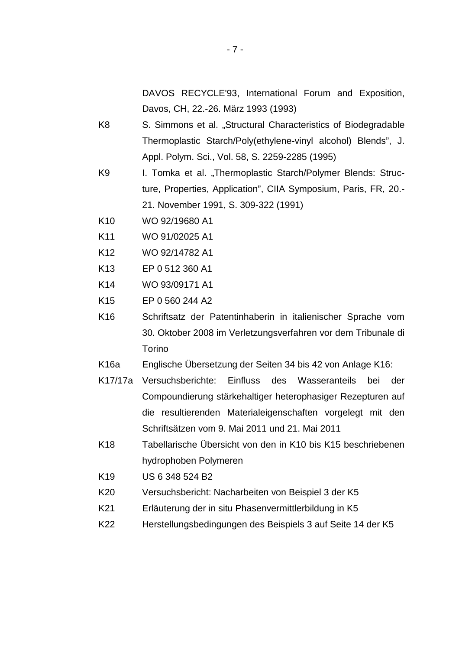- K8 S. Simmons et al. "Structural Characteristics of Biodegradable Thermoplastic Starch/Poly(ethylene-vinyl alcohol) Blends", J. Appl. Polym. Sci., Vol. 58, S. 2259-2285 (1995)
- K9 I. Tomka et al. "Thermoplastic Starch/Polymer Blends: Structure, Properties, Application", CIIA Symposium, Paris, FR, 20.- 21. November 1991, S. 309-322 (1991)
- K10 WO 92/19680 A1
- K11 WO 91/02025 A1
- K12 WO 92/14782 A1
- K13 EP 0 512 360 A1
- K14 WO 93/09171 A1
- K15 EP 0 560 244 A2
- K16 Schriftsatz der Patentinhaberin in italienischer Sprache vom 30. Oktober 2008 im Verletzungsverfahren vor dem Tribunale di Torino
- K16a Englische Übersetzung der Seiten 34 bis 42 von Anlage K16:
- K17/17a Versuchsberichte: Einfluss des Wasseranteils bei der Compoundierung stärkehaltiger heterophasiger Rezepturen auf die resultierenden Materialeigenschaften vorgelegt mit den Schriftsätzen vom 9. Mai 2011 und 21. Mai 2011
- K18 Tabellarische Übersicht von den in K10 bis K15 beschriebenen hydrophoben Polymeren
- K19 US 6 348 524 B2
- K20 Versuchsbericht: Nacharbeiten von Beispiel 3 der K5
- K21 Erläuterung der in situ Phasenvermittlerbildung in K5
- K22 Herstellungsbedingungen des Beispiels 3 auf Seite 14 der K5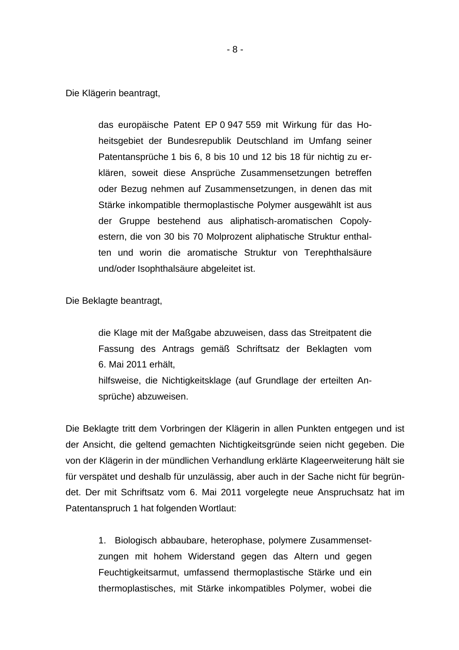Die Klägerin beantragt,

das europäische Patent EP 0 947 559 mit Wirkung für das Hoheitsgebiet der Bundesrepublik Deutschland im Umfang seiner Patentansprüche 1 bis 6, 8 bis 10 und 12 bis 18 für nichtig zu erklären, soweit diese Ansprüche Zusammensetzungen betreffen oder Bezug nehmen auf Zusammensetzungen, in denen das mit Stärke inkompatible thermoplastische Polymer ausgewählt ist aus der Gruppe bestehend aus aliphatisch-aromatischen Copolyestern, die von 30 bis 70 Molprozent aliphatische Struktur enthalten und worin die aromatische Struktur von Terephthalsäure und/oder Isophthalsäure abgeleitet ist.

Die Beklagte beantragt,

die Klage mit der Maßgabe abzuweisen, dass das Streitpatent die Fassung des Antrags gemäß Schriftsatz der Beklagten vom 6. Mai 2011 erhält, hilfsweise, die Nichtigkeitsklage (auf Grundlage der erteilten Ansprüche) abzuweisen.

Die Beklagte tritt dem Vorbringen der Klägerin in allen Punkten entgegen und ist der Ansicht, die geltend gemachten Nichtigkeitsgründe seien nicht gegeben. Die von der Klägerin in der mündlichen Verhandlung erklärte Klageerweiterung hält sie für verspätet und deshalb für unzulässig, aber auch in der Sache nicht für begründet. Der mit Schriftsatz vom 6. Mai 2011 vorgelegte neue Anspruchsatz hat im Patentanspruch 1 hat folgenden Wortlaut:

1. Biologisch abbaubare, heterophase, polymere Zusammensetzungen mit hohem Widerstand gegen das Altern und gegen Feuchtigkeitsarmut, umfassend thermoplastische Stärke und ein thermoplastisches, mit Stärke inkompatibles Polymer, wobei die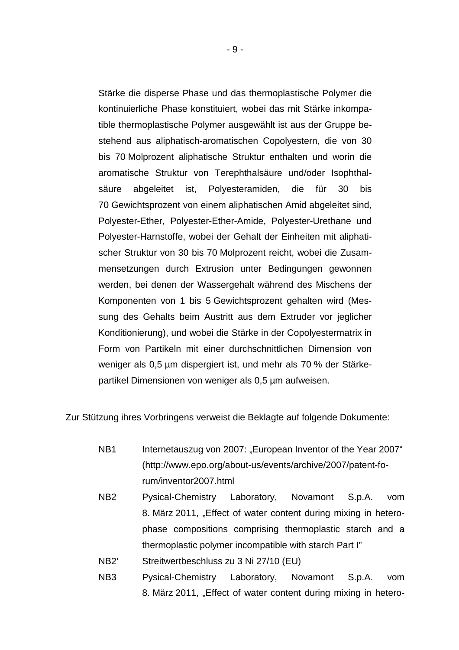Stärke die disperse Phase und das thermoplastische Polymer die kontinuierliche Phase konstituiert, wobei das mit Stärke inkompatible thermoplastische Polymer ausgewählt ist aus der Gruppe bestehend aus aliphatisch-aromatischen Copolyestern, die von 30 bis 70 Molprozent aliphatische Struktur enthalten und worin die aromatische Struktur von Terephthalsäure und/oder Isophthalsäure abgeleitet ist, Polyesteramiden, die für 30 bis 70 Gewichtsprozent von einem aliphatischen Amid abgeleitet sind, Polyester-Ether, Polyester-Ether-Amide, Polyester-Urethane und Polyester-Harnstoffe, wobei der Gehalt der Einheiten mit aliphatischer Struktur von 30 bis 70 Molprozent reicht, wobei die Zusammensetzungen durch Extrusion unter Bedingungen gewonnen werden, bei denen der Wassergehalt während des Mischens der Komponenten von 1 bis 5 Gewichtsprozent gehalten wird (Messung des Gehalts beim Austritt aus dem Extruder vor jeglicher Konditionierung), und wobei die Stärke in der Copolyestermatrix in Form von Partikeln mit einer durchschnittlichen Dimension von weniger als 0,5 µm dispergiert ist, und mehr als 70 % der Stärkepartikel Dimensionen von weniger als 0,5 µm aufweisen.

Zur Stützung ihres Vorbringens verweist die Beklagte auf folgende Dokumente:

- NB1 Internetauszug von 2007: "European Inventor of the Year 2007" (http://www.epo.org/about-us/events/archive/2007/patent-forum/inventor2007.html
- NB2 Pysical-Chemistry Laboratory, Novamont S.p.A. vom 8. März 2011, "Effect of water content during mixing in heterophase compositions comprising thermoplastic starch and a thermoplastic polymer incompatible with starch Part I"
- NB2' Streitwertbeschluss zu 3 Ni 27/10 (EU)
- NB3 Pysical-Chemistry Laboratory, Novamont S.p.A. vom 8. März 2011, "Effect of water content during mixing in hetero-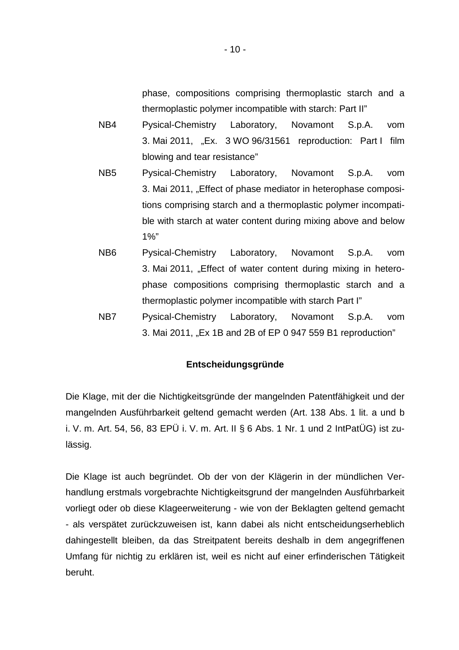phase, compositions comprising thermoplastic starch and a thermoplastic polymer incompatible with starch: Part II"

- NB4 Pysical-Chemistry Laboratory, Novamont S.p.A. vom 3. Mai 2011, "Ex. 3 WO 96/31561 reproduction: Part I film blowing and tear resistance"
- NB5 Pysical-Chemistry Laboratory, Novamont S.p.A. vom 3. Mai 2011, "Effect of phase mediator in heterophase compositions comprising starch and a thermoplastic polymer incompatible with starch at water content during mixing above and below 1%"
- NB6 Pysical-Chemistry Laboratory, Novamont S.p.A. vom 3. Mai 2011, "Effect of water content during mixing in heterophase compositions comprising thermoplastic starch and a thermoplastic polymer incompatible with starch Part I"
- NB7 Pysical-Chemistry Laboratory, Novamont S.p.A. vom 3. Mai 2011, "Ex 1B and 2B of EP 0 947 559 B1 reproduction"

## **Entscheidungsgründe**

Die Klage, mit der die Nichtigkeitsgründe der mangelnden Patentfähigkeit und der mangelnden Ausführbarkeit geltend gemacht werden (Art. 138 Abs. 1 lit. a und b i. V. m. Art. 54, 56, 83 EPÜ i. V. m. Art. II § 6 Abs. 1 Nr. 1 und 2 IntPatÜG) ist zulässig.

Die Klage ist auch begründet. Ob der von der Klägerin in der mündlichen Verhandlung erstmals vorgebrachte Nichtigkeitsgrund der mangelnden Ausführbarkeit vorliegt oder ob diese Klageerweiterung - wie von der Beklagten geltend gemacht - als verspätet zurückzuweisen ist, kann dabei als nicht entscheidungserheblich dahingestellt bleiben, da das Streitpatent bereits deshalb in dem angegriffenen Umfang für nichtig zu erklären ist, weil es nicht auf einer erfinderischen Tätigkeit beruht.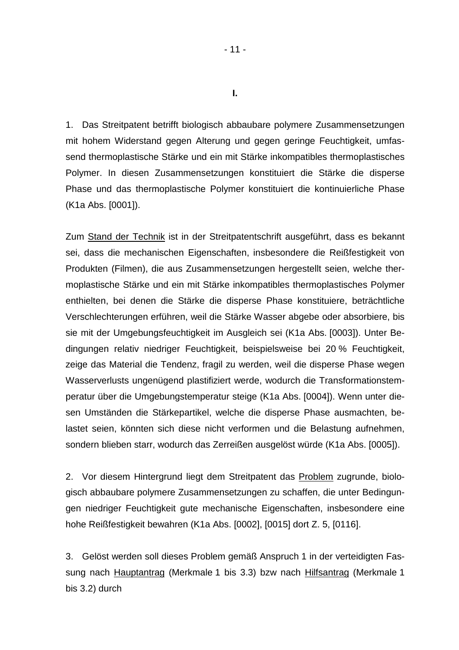1. Das Streitpatent betrifft biologisch abbaubare polymere Zusammensetzungen mit hohem Widerstand gegen Alterung und gegen geringe Feuchtigkeit, umfassend thermoplastische Stärke und ein mit Stärke inkompatibles thermoplastisches Polymer. In diesen Zusammensetzungen konstituiert die Stärke die disperse Phase und das thermoplastische Polymer konstituiert die kontinuierliche Phase (K1a Abs. [0001]).

Zum Stand der Technik ist in der Streitpatentschrift ausgeführt, dass es bekannt sei, dass die mechanischen Eigenschaften, insbesondere die Reißfestigkeit von Produkten (Filmen), die aus Zusammensetzungen hergestellt seien, welche thermoplastische Stärke und ein mit Stärke inkompatibles thermoplastisches Polymer enthielten, bei denen die Stärke die disperse Phase konstituiere, beträchtliche Verschlechterungen erführen, weil die Stärke Wasser abgebe oder absorbiere, bis sie mit der Umgebungsfeuchtigkeit im Ausgleich sei (K1a Abs. [0003]). Unter Bedingungen relativ niedriger Feuchtigkeit, beispielsweise bei 20 % Feuchtigkeit, zeige das Material die Tendenz, fragil zu werden, weil die disperse Phase wegen Wasserverlusts ungenügend plastifiziert werde, wodurch die Transformationstemperatur über die Umgebungstemperatur steige (K1a Abs. [0004]). Wenn unter diesen Umständen die Stärkepartikel, welche die disperse Phase ausmachten, belastet seien, könnten sich diese nicht verformen und die Belastung aufnehmen, sondern blieben starr, wodurch das Zerreißen ausgelöst würde (K1a Abs. [0005]).

2. Vor diesem Hintergrund liegt dem Streitpatent das Problem zugrunde, biologisch abbaubare polymere Zusammensetzungen zu schaffen, die unter Bedingungen niedriger Feuchtigkeit gute mechanische Eigenschaften, insbesondere eine hohe Reißfestigkeit bewahren (K1a Abs. [0002], [0015] dort Z. 5, [0116].

3. Gelöst werden soll dieses Problem gemäß Anspruch 1 in der verteidigten Fassung nach Hauptantrag (Merkmale 1 bis 3.3) bzw nach Hilfsantrag (Merkmale 1 bis 3.2) durch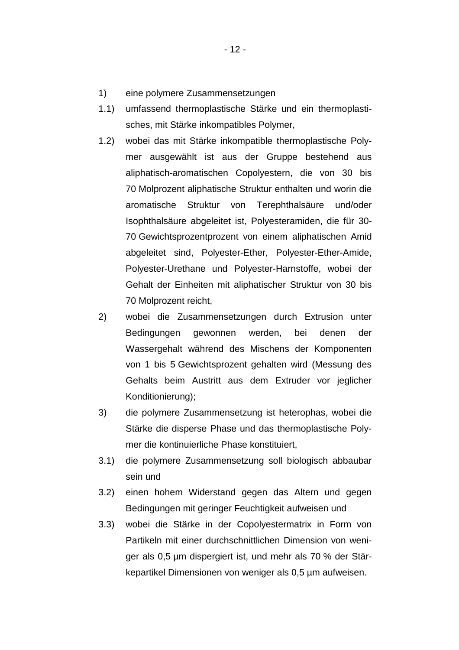- 1) eine polymere Zusammensetzungen
- 1.1) umfassend thermoplastische Stärke und ein thermoplastisches, mit Stärke inkompatibles Polymer,
- 1.2) wobei das mit Stärke inkompatible thermoplastische Polymer ausgewählt ist aus der Gruppe bestehend aus aliphatisch-aromatischen Copolyestern, die von 30 bis 70 Molprozent aliphatische Struktur enthalten und worin die aromatische Struktur von Terephthalsäure und/oder Isophthalsäure abgeleitet ist, Polyesteramiden, die für 30- 70 Gewichtsprozentprozent von einem aliphatischen Amid abgeleitet sind, Polyester-Ether, Polyester-Ether-Amide, Polyester-Urethane und Polyester-Harnstoffe, wobei der Gehalt der Einheiten mit aliphatischer Struktur von 30 bis 70 Molprozent reicht,
- 2) wobei die Zusammensetzungen durch Extrusion unter Bedingungen gewonnen werden, bei denen der Wassergehalt während des Mischens der Komponenten von 1 bis 5 Gewichtsprozent gehalten wird (Messung des Gehalts beim Austritt aus dem Extruder vor jeglicher Konditionierung);
- 3) die polymere Zusammensetzung ist heterophas, wobei die Stärke die disperse Phase und das thermoplastische Polymer die kontinuierliche Phase konstituiert,
- 3.1) die polymere Zusammensetzung soll biologisch abbaubar sein und
- 3.2) einen hohem Widerstand gegen das Altern und gegen Bedingungen mit geringer Feuchtigkeit aufweisen und
- 3.3) wobei die Stärke in der Copolyestermatrix in Form von Partikeln mit einer durchschnittlichen Dimension von weniger als 0,5 µm dispergiert ist, und mehr als 70 % der Stärkepartikel Dimensionen von weniger als 0,5 µm aufweisen.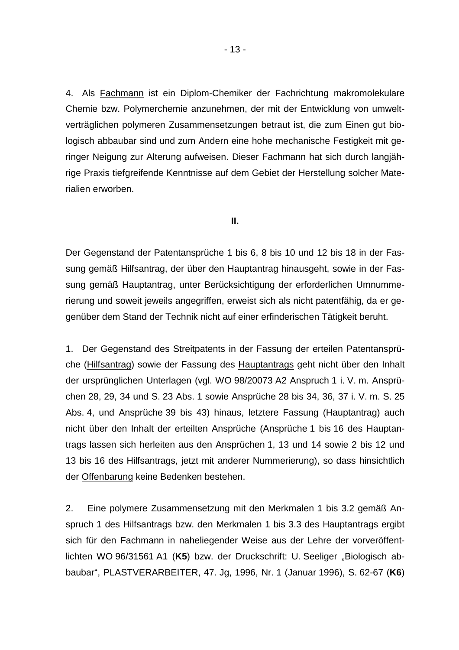4. Als Fachmann ist ein Diplom-Chemiker der Fachrichtung makromolekulare Chemie bzw. Polymerchemie anzunehmen, der mit der Entwicklung von umweltverträglichen polymeren Zusammensetzungen betraut ist, die zum Einen gut biologisch abbaubar sind und zum Andern eine hohe mechanische Festigkeit mit geringer Neigung zur Alterung aufweisen. Dieser Fachmann hat sich durch langjährige Praxis tiefgreifende Kenntnisse auf dem Gebiet der Herstellung solcher Materialien erworben.

**II.**

Der Gegenstand der Patentansprüche 1 bis 6, 8 bis 10 und 12 bis 18 in der Fassung gemäß Hilfsantrag, der über den Hauptantrag hinausgeht, sowie in der Fassung gemäß Hauptantrag, unter Berücksichtigung der erforderlichen Umnummerierung und soweit jeweils angegriffen, erweist sich als nicht patentfähig, da er gegenüber dem Stand der Technik nicht auf einer erfinderischen Tätigkeit beruht.

1. Der Gegenstand des Streitpatents in der Fassung der erteilen Patentansprüche (Hilfsantrag) sowie der Fassung des Hauptantrags geht nicht über den Inhalt der ursprünglichen Unterlagen (vgl. WO 98/20073 A2 Anspruch 1 i. V. m. Ansprüchen 28, 29, 34 und S. 23 Abs. 1 sowie Ansprüche 28 bis 34, 36, 37 i. V. m. S. 25 Abs. 4, und Ansprüche 39 bis 43) hinaus, letztere Fassung (Hauptantrag) auch nicht über den Inhalt der erteilten Ansprüche (Ansprüche 1 bis 16 des Hauptantrags lassen sich herleiten aus den Ansprüchen 1, 13 und 14 sowie 2 bis 12 und 13 bis 16 des Hilfsantrags, jetzt mit anderer Nummerierung), so dass hinsichtlich der Offenbarung keine Bedenken bestehen.

2. Eine polymere Zusammensetzung mit den Merkmalen 1 bis 3.2 gemäß Anspruch 1 des Hilfsantrags bzw. den Merkmalen 1 bis 3.3 des Hauptantrags ergibt sich für den Fachmann in naheliegender Weise aus der Lehre der vorveröffentlichten WO 96/31561 A1 (K5) bzw. der Druckschrift: U. Seeliger "Biologisch abbaubar", PLASTVERARBEITER, 47. Jg, 1996, Nr. 1 (Januar 1996), S. 62-67 (**K6**)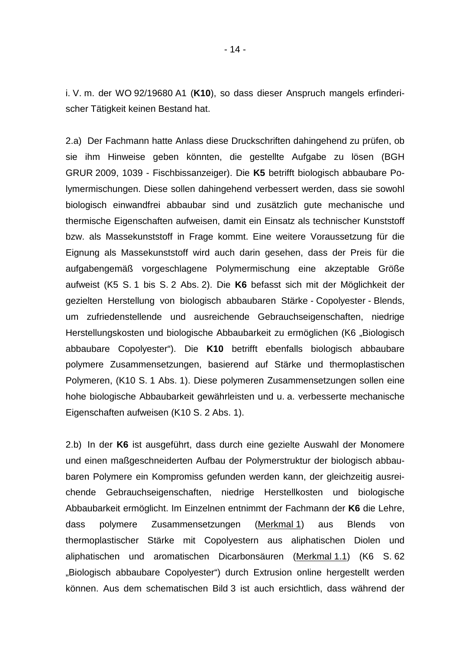i. V. m. der WO 92/19680 A1 (**K10**), so dass dieser Anspruch mangels erfinderischer Tätigkeit keinen Bestand hat.

2.a) Der Fachmann hatte Anlass diese Druckschriften dahingehend zu prüfen, ob sie ihm Hinweise geben könnten, die gestellte Aufgabe zu lösen (BGH GRUR 2009, 1039 - Fischbissanzeiger). Die **K5** betrifft biologisch abbaubare Polymermischungen. Diese sollen dahingehend verbessert werden, dass sie sowohl biologisch einwandfrei abbaubar sind und zusätzlich gute mechanische und thermische Eigenschaften aufweisen, damit ein Einsatz als technischer Kunststoff bzw. als Massekunststoff in Frage kommt. Eine weitere Voraussetzung für die Eignung als Massekunststoff wird auch darin gesehen, dass der Preis für die aufgabengemäß vorgeschlagene Polymermischung eine akzeptable Größe aufweist (K5 S. 1 bis S. 2 Abs. 2). Die **K6** befasst sich mit der Möglichkeit der gezielten Herstellung von biologisch abbaubaren Stärke - Copolyester - Blends, um zufriedenstellende und ausreichende Gebrauchseigenschaften, niedrige Herstellungskosten und biologische Abbaubarkeit zu ermöglichen (K6 "Biologisch abbaubare Copolyester"). Die **K10** betrifft ebenfalls biologisch abbaubare polymere Zusammensetzungen, basierend auf Stärke und thermoplastischen Polymeren, (K10 S. 1 Abs. 1). Diese polymeren Zusammensetzungen sollen eine hohe biologische Abbaubarkeit gewährleisten und u. a. verbesserte mechanische Eigenschaften aufweisen (K10 S. 2 Abs. 1).

2.b) In der **K6** ist ausgeführt, dass durch eine gezielte Auswahl der Monomere und einen maßgeschneiderten Aufbau der Polymerstruktur der biologisch abbaubaren Polymere ein Kompromiss gefunden werden kann, der gleichzeitig ausreichende Gebrauchseigenschaften, niedrige Herstellkosten und biologische Abbaubarkeit ermöglicht. Im Einzelnen entnimmt der Fachmann der **K6** die Lehre, dass polymere Zusammensetzungen (Merkmal 1) aus Blends von thermoplastischer Stärke mit Copolyestern aus aliphatischen Diolen und aliphatischen und aromatischen Dicarbonsäuren (Merkmal 1.1) (K6 S. 62 "Biologisch abbaubare Copolyester") durch Extrusion online hergestellt werden können. Aus dem schematischen Bild 3 ist auch ersichtlich, dass während der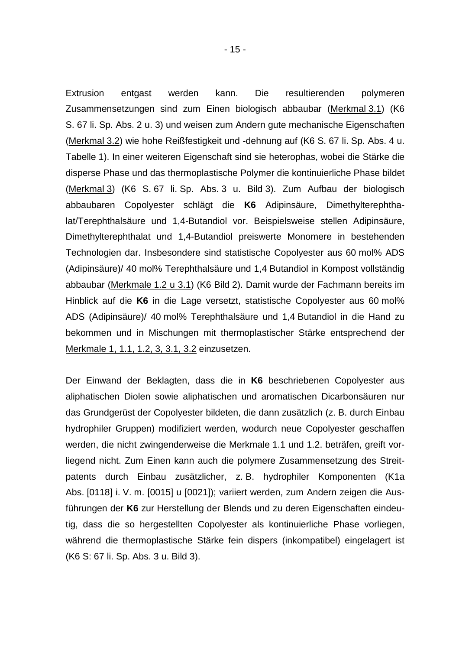Extrusion entgast werden kann. Die resultierenden polymeren Zusammensetzungen sind zum Einen biologisch abbaubar (Merkmal 3.1) (K6 S. 67 li. Sp. Abs. 2 u. 3) und weisen zum Andern gute mechanische Eigenschaften (Merkmal 3.2) wie hohe Reißfestigkeit und -dehnung auf (K6 S. 67 li. Sp. Abs. 4 u. Tabelle 1). In einer weiteren Eigenschaft sind sie heterophas, wobei die Stärke die disperse Phase und das thermoplastische Polymer die kontinuierliche Phase bildet (Merkmal 3) (K6 S. 67 li. Sp. Abs. 3 u. Bild 3). Zum Aufbau der biologisch abbaubaren Copolyester schlägt die **K6** Adipinsäure, Dimethylterephthalat/Terephthalsäure und 1,4-Butandiol vor. Beispielsweise stellen Adipinsäure, Dimethylterephthalat und 1,4-Butandiol preiswerte Monomere in bestehenden Technologien dar. Insbesondere sind statistische Copolyester aus 60 mol% ADS (Adipinsäure)/ 40 mol% Terephthalsäure und 1,4 Butandiol in Kompost vollständig abbaubar (Merkmale 1.2 u 3.1) (K6 Bild 2). Damit wurde der Fachmann bereits im Hinblick auf die **K6** in die Lage versetzt, statistische Copolyester aus 60 mol% ADS (Adipinsäure)/ 40 mol% Terephthalsäure und 1,4 Butandiol in die Hand zu bekommen und in Mischungen mit thermoplastischer Stärke entsprechend der Merkmale 1, 1.1, 1.2, 3, 3.1, 3.2 einzusetzen.

Der Einwand der Beklagten, dass die in **K6** beschriebenen Copolyester aus aliphatischen Diolen sowie aliphatischen und aromatischen Dicarbonsäuren nur das Grundgerüst der Copolyester bildeten, die dann zusätzlich (z. B. durch Einbau hydrophiler Gruppen) modifiziert werden, wodurch neue Copolyester geschaffen werden, die nicht zwingenderweise die Merkmale 1.1 und 1.2. beträfen, greift vorliegend nicht. Zum Einen kann auch die polymere Zusammensetzung des Streitpatents durch Einbau zusätzlicher, z. B. hydrophiler Komponenten (K1a Abs. [0118] i. V. m. [0015] u [0021]); variiert werden, zum Andern zeigen die Ausführungen der **K6** zur Herstellung der Blends und zu deren Eigenschaften eindeutig, dass die so hergestellten Copolyester als kontinuierliche Phase vorliegen, während die thermoplastische Stärke fein dispers (inkompatibel) eingelagert ist (K6 S: 67 li. Sp. Abs. 3 u. Bild 3).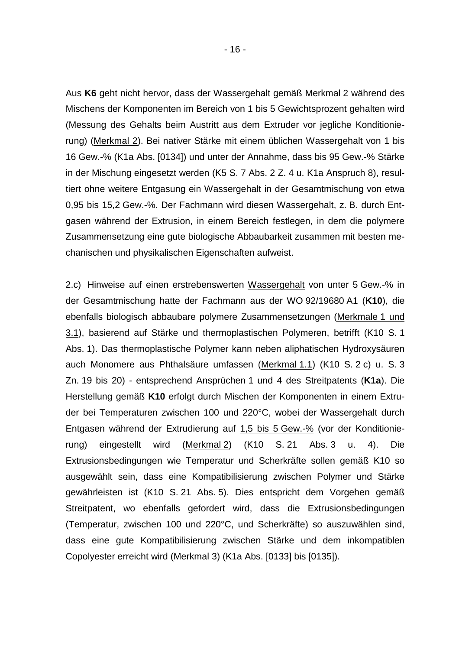Aus **K6** geht nicht hervor, dass der Wassergehalt gemäß Merkmal 2 während des Mischens der Komponenten im Bereich von 1 bis 5 Gewichtsprozent gehalten wird (Messung des Gehalts beim Austritt aus dem Extruder vor jegliche Konditionierung) (Merkmal 2). Bei nativer Stärke mit einem üblichen Wassergehalt von 1 bis 16 Gew.-% (K1a Abs. [0134]) und unter der Annahme, dass bis 95 Gew.-% Stärke in der Mischung eingesetzt werden (K5 S. 7 Abs. 2 Z. 4 u. K1a Anspruch 8), resultiert ohne weitere Entgasung ein Wassergehalt in der Gesamtmischung von etwa 0,95 bis 15,2 Gew.-%. Der Fachmann wird diesen Wassergehalt, z. B. durch Entgasen während der Extrusion, in einem Bereich festlegen, in dem die polymere Zusammensetzung eine gute biologische Abbaubarkeit zusammen mit besten mechanischen und physikalischen Eigenschaften aufweist.

2.c) Hinweise auf einen erstrebenswerten Wassergehalt von unter 5 Gew.-% in der Gesamtmischung hatte der Fachmann aus der WO 92/19680 A1 (**K10**), die ebenfalls biologisch abbaubare polymere Zusammensetzungen (Merkmale 1 und 3.1), basierend auf Stärke und thermoplastischen Polymeren, betrifft (K10 S. 1 Abs. 1). Das thermoplastische Polymer kann neben aliphatischen Hydroxysäuren auch Monomere aus Phthalsäure umfassen (Merkmal 1.1) (K10 S. 2 c) u. S. 3 Zn. 19 bis 20) - entsprechend Ansprüchen 1 und 4 des Streitpatents (**K1a**). Die Herstellung gemäß **K10** erfolgt durch Mischen der Komponenten in einem Extruder bei Temperaturen zwischen 100 und 220°C, wobei der Wassergehalt durch Entgasen während der Extrudierung auf 1,5 bis 5 Gew.-% (vor der Konditionierung) eingestellt wird (Merkmal 2) (K10 S. 21 Abs. 3 u. 4). Die Extrusionsbedingungen wie Temperatur und Scherkräfte sollen gemäß K10 so ausgewählt sein, dass eine Kompatibilisierung zwischen Polymer und Stärke gewährleisten ist (K10 S. 21 Abs. 5). Dies entspricht dem Vorgehen gemäß Streitpatent, wo ebenfalls gefordert wird, dass die Extrusionsbedingungen (Temperatur, zwischen 100 und 220°C, und Scherkräfte) so auszuwählen sind, dass eine gute Kompatibilisierung zwischen Stärke und dem inkompatiblen Copolyester erreicht wird (Merkmal 3) (K1a Abs. [0133] bis [0135]).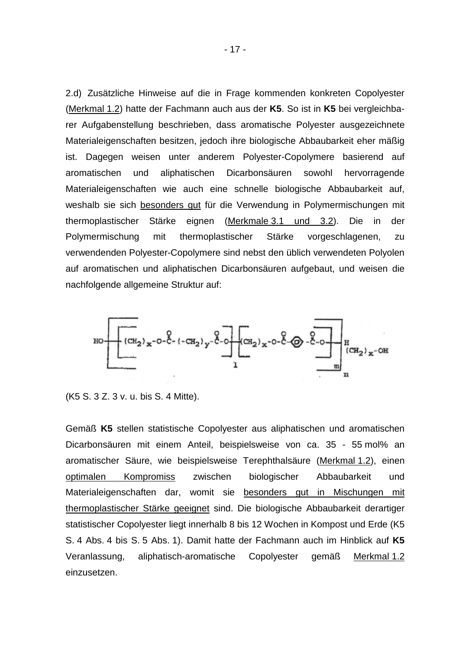2.d) Zusätzliche Hinweise auf die in Frage kommenden konkreten Copolyester (Merkmal 1.2) hatte der Fachmann auch aus der **K5**. So ist in **K5** bei vergleichbarer Aufgabenstellung beschrieben, dass aromatische Polyester ausgezeichnete Materialeigenschaften besitzen, jedoch ihre biologische Abbaubarkeit eher mäßig ist. Dagegen weisen unter anderem Polyester-Copolymere basierend auf aromatischen und aliphatischen Dicarbonsäuren sowohl hervorragende Materialeigenschaften wie auch eine schnelle biologische Abbaubarkeit auf, weshalb sie sich besonders gut für die Verwendung in Polymermischungen mit thermoplastischer Stärke eignen (Merkmale 3.1 und 3.2). Die in der Polymermischung mit thermoplastischer Stärke vorgeschlagenen, zu verwendenden Polyester-Copolymere sind nebst den üblich verwendeten Polyolen auf aromatischen und aliphatischen Dicarbonsäuren aufgebaut, und weisen die nachfolgende allgemeine Struktur auf:



(K5 S. 3 Z. 3 v. u. bis S. 4 Mitte).

Gemäß **K5** stellen statistische Copolyester aus aliphatischen und aromatischen Dicarbonsäuren mit einem Anteil, beispielsweise von ca. 35 - 55 mol% an aromatischer Säure, wie beispielsweise Terephthalsäure (Merkmal 1.2), einen optimalen Kompromiss zwischen biologischer Abbaubarkeit und Materialeigenschaften dar, womit sie besonders gut in Mischungen mit thermoplastischer Stärke geeignet sind. Die biologische Abbaubarkeit derartiger statistischer Copolyester liegt innerhalb 8 bis 12 Wochen in Kompost und Erde (K5 S. 4 Abs. 4 bis S. 5 Abs. 1). Damit hatte der Fachmann auch im Hinblick auf **K5** Veranlassung, aliphatisch-aromatische Copolyester gemäß Merkmal 1.2 einzusetzen.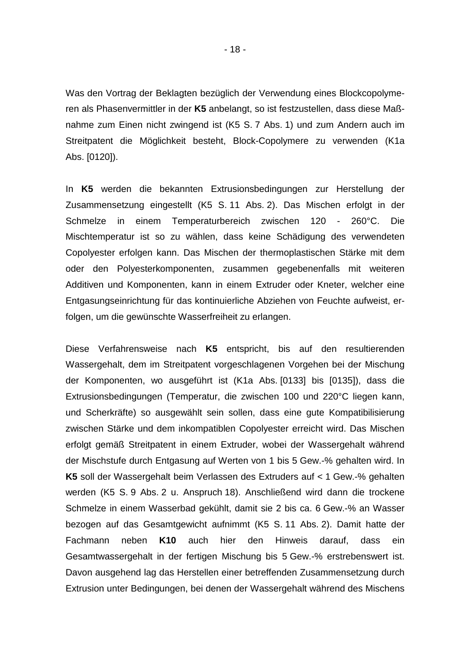Was den Vortrag der Beklagten bezüglich der Verwendung eines Blockcopolymeren als Phasenvermittler in der **K5** anbelangt, so ist festzustellen, dass diese Maßnahme zum Einen nicht zwingend ist (K5 S. 7 Abs. 1) und zum Andern auch im Streitpatent die Möglichkeit besteht, Block-Copolymere zu verwenden (K1a Abs. [0120]).

In **K5** werden die bekannten Extrusionsbedingungen zur Herstellung der Zusammensetzung eingestellt (K5 S. 11 Abs. 2). Das Mischen erfolgt in der Schmelze in einem Temperaturbereich zwischen 120 - 260°C. Die Mischtemperatur ist so zu wählen, dass keine Schädigung des verwendeten Copolyester erfolgen kann. Das Mischen der thermoplastischen Stärke mit dem oder den Polyesterkomponenten, zusammen gegebenenfalls mit weiteren Additiven und Komponenten, kann in einem Extruder oder Kneter, welcher eine Entgasungseinrichtung für das kontinuierliche Abziehen von Feuchte aufweist, erfolgen, um die gewünschte Wasserfreiheit zu erlangen.

Diese Verfahrensweise nach **K5** entspricht, bis auf den resultierenden Wassergehalt, dem im Streitpatent vorgeschlagenen Vorgehen bei der Mischung der Komponenten, wo ausgeführt ist (K1a Abs. [0133] bis [0135]), dass die Extrusionsbedingungen (Temperatur, die zwischen 100 und 220°C liegen kann, und Scherkräfte) so ausgewählt sein sollen, dass eine gute Kompatibilisierung zwischen Stärke und dem inkompatiblen Copolyester erreicht wird. Das Mischen erfolgt gemäß Streitpatent in einem Extruder, wobei der Wassergehalt während der Mischstufe durch Entgasung auf Werten von 1 bis 5 Gew.-% gehalten wird. In **K5** soll der Wassergehalt beim Verlassen des Extruders auf < 1 Gew.-% gehalten werden (K5 S. 9 Abs. 2 u. Anspruch 18). Anschließend wird dann die trockene Schmelze in einem Wasserbad gekühlt, damit sie 2 bis ca. 6 Gew.-% an Wasser bezogen auf das Gesamtgewicht aufnimmt (K5 S. 11 Abs. 2). Damit hatte der Fachmann neben **K10** auch hier den Hinweis darauf, dass ein Gesamtwassergehalt in der fertigen Mischung bis 5 Gew.-% erstrebenswert ist. Davon ausgehend lag das Herstellen einer betreffenden Zusammensetzung durch Extrusion unter Bedingungen, bei denen der Wassergehalt während des Mischens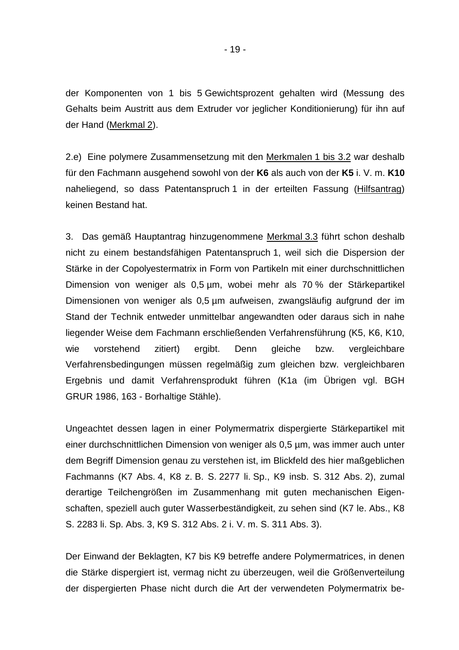der Komponenten von 1 bis 5 Gewichtsprozent gehalten wird (Messung des Gehalts beim Austritt aus dem Extruder vor jeglicher Konditionierung) für ihn auf der Hand (Merkmal 2).

2.e) Eine polymere Zusammensetzung mit den Merkmalen 1 bis 3.2 war deshalb für den Fachmann ausgehend sowohl von der **K6** als auch von der **K5** i. V. m. **K10** naheliegend, so dass Patentanspruch 1 in der erteilten Fassung (Hilfsantrag) keinen Bestand hat.

3. Das gemäß Hauptantrag hinzugenommene Merkmal 3.3 führt schon deshalb nicht zu einem bestandsfähigen Patentanspruch 1, weil sich die Dispersion der Stärke in der Copolyestermatrix in Form von Partikeln mit einer durchschnittlichen Dimension von weniger als 0,5 µm, wobei mehr als 70 % der Stärkepartikel Dimensionen von weniger als 0,5 µm aufweisen, zwangsläufig aufgrund der im Stand der Technik entweder unmittelbar angewandten oder daraus sich in nahe liegender Weise dem Fachmann erschließenden Verfahrensführung (K5, K6, K10, wie vorstehend zitiert) ergibt. Denn gleiche bzw. vergleichbare Verfahrensbedingungen müssen regelmäßig zum gleichen bzw. vergleichbaren Ergebnis und damit Verfahrensprodukt führen (K1a (im Übrigen vgl. BGH GRUR 1986, 163 - Borhaltige Stähle).

Ungeachtet dessen lagen in einer Polymermatrix dispergierte Stärkepartikel mit einer durchschnittlichen Dimension von weniger als 0,5 µm, was immer auch unter dem Begriff Dimension genau zu verstehen ist, im Blickfeld des hier maßgeblichen Fachmanns (K7 Abs. 4, K8 z. B. S. 2277 li. Sp., K9 insb. S. 312 Abs. 2), zumal derartige Teilchengrößen im Zusammenhang mit guten mechanischen Eigenschaften, speziell auch guter Wasserbeständigkeit, zu sehen sind (K7 le. Abs., K8 S. 2283 li. Sp. Abs. 3, K9 S. 312 Abs. 2 i. V. m. S. 311 Abs. 3).

Der Einwand der Beklagten, K7 bis K9 betreffe andere Polymermatrices, in denen die Stärke dispergiert ist, vermag nicht zu überzeugen, weil die Größenverteilung der dispergierten Phase nicht durch die Art der verwendeten Polymermatrix be-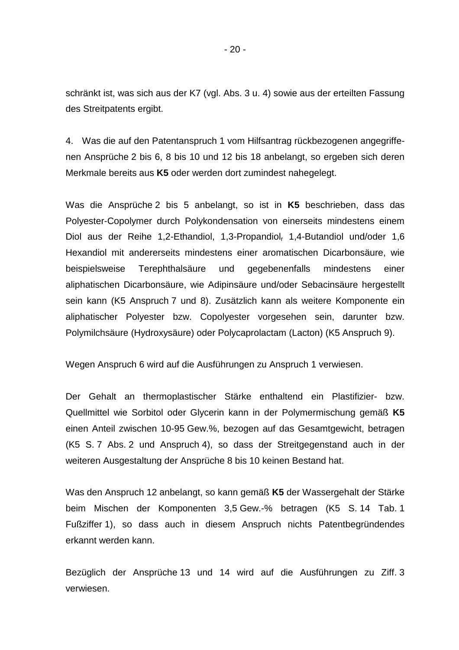schränkt ist, was sich aus der K7 (vgl. Abs. 3 u. 4) sowie aus der erteilten Fassung des Streitpatents ergibt.

4. Was die auf den Patentanspruch 1 vom Hilfsantrag rückbezogenen angegriffenen Ansprüche 2 bis 6, 8 bis 10 und 12 bis 18 anbelangt, so ergeben sich deren Merkmale bereits aus **K5** oder werden dort zumindest nahegelegt.

Was die Ansprüche 2 bis 5 anbelangt, so ist in **K5** beschrieben, dass das Polyester-Copolymer durch Polykondensation von einerseits mindestens einem Diol aus der Reihe 1,2-Ethandiol, 1,3-Propandiol<sub>r</sub> 1,4-Butandiol und/oder 1,6 Hexandiol mit andererseits mindestens einer aromatischen Dicarbonsäure, wie beispielsweise Terephthalsäure und gegebenenfalls mindestens einer aliphatischen Dicarbonsäure, wie Adipinsäure und/oder Sebacinsäure hergestellt sein kann (K5 Anspruch 7 und 8). Zusätzlich kann als weitere Komponente ein aliphatischer Polyester bzw. Copolyester vorgesehen sein, darunter bzw. Polymilchsäure (Hydroxysäure) oder Polycaprolactam (Lacton) (K5 Anspruch 9).

Wegen Anspruch 6 wird auf die Ausführungen zu Anspruch 1 verwiesen.

Der Gehalt an thermoplastischer Stärke enthaltend ein Plastifizier- bzw. Quellmittel wie Sorbitol oder Glycerin kann in der Polymermischung gemäß **K5** einen Anteil zwischen 10-95 Gew.%, bezogen auf das Gesamtgewicht, betragen (K5 S. 7 Abs. 2 und Anspruch 4), so dass der Streitgegenstand auch in der weiteren Ausgestaltung der Ansprüche 8 bis 10 keinen Bestand hat.

Was den Anspruch 12 anbelangt, so kann gemäß **K5** der Wassergehalt der Stärke beim Mischen der Komponenten 3,5 Gew.-% betragen (K5 S. 14 Tab. 1 Fußziffer 1), so dass auch in diesem Anspruch nichts Patentbegründendes erkannt werden kann.

Bezüglich der Ansprüche 13 und 14 wird auf die Ausführungen zu Ziff. 3 verwiesen.